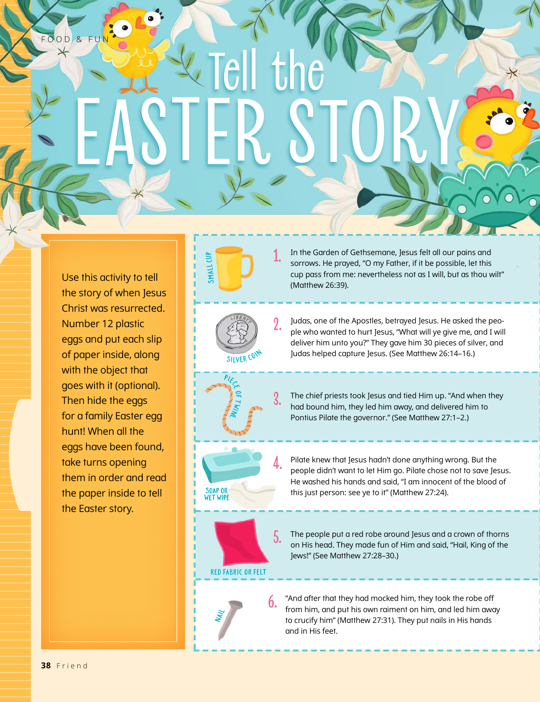Use this activity to tell the story of when Jesus Christ was resurrected. Number 12 plastic eggs and put each slip of paper inside, along with the object that goes with it (optional). Then hide the eggs for a family Easter egg hunt! When all the eggs have been found, take turns opening them in order and read the paper inside to tell the Easter story.

**1.** In the Garden of Gethsemane, Jesus felt all our pains and sorrows. He prayed, "O my Father, if it be possible, let this cup pass from me: nevertheless not as I will, but as thou wilt" (Matthew 26:39).

SILVER CON

 $\frac{P/\varepsilon}{P}$  $\bullet$  $\mathbf \tau$ tw i<br>Ni

Small Cup

Tell the

EASTER STORY

**2.** Judas, one of the Apostles, betrayed Jesus. He asked the people who wanted to hurt Jesus, "What will ye give me, and I will deliver him unto you?" They gave him 30 pieces of silver, and Judas helped capture Jesus. (See Matthew 26:14–16.)

**3.** The chief priests took Jesus and tied Him up. "And when they had bound him, they led him away, and delivered him to Pontius Pilate the governor." (See Matthew 27:1–2.)

**4.** Pilate knew that Jesus hadn't done anything wrong. But the people didn't want to let Him go. Pilate chose not to save Jesus. He washed his hands and said, "I am innocent of the blood of this just person: see ye to it" (Matthew 27:24).

**5.** The people put a red robe around Jesus and a crown of thorns on His head. They made fun of Him and said, "Hail, King of the Jews!" (See Matthew 27:28–30.)

RED FABRIC OR FELT

SOAP OR WET WIPE



**6.** "And after that they had mocked him, they took the robe off from him, and put his own raiment on him, and led him away to crucify him" (Matthew 27:31). They put nails in His hands and in His feet.